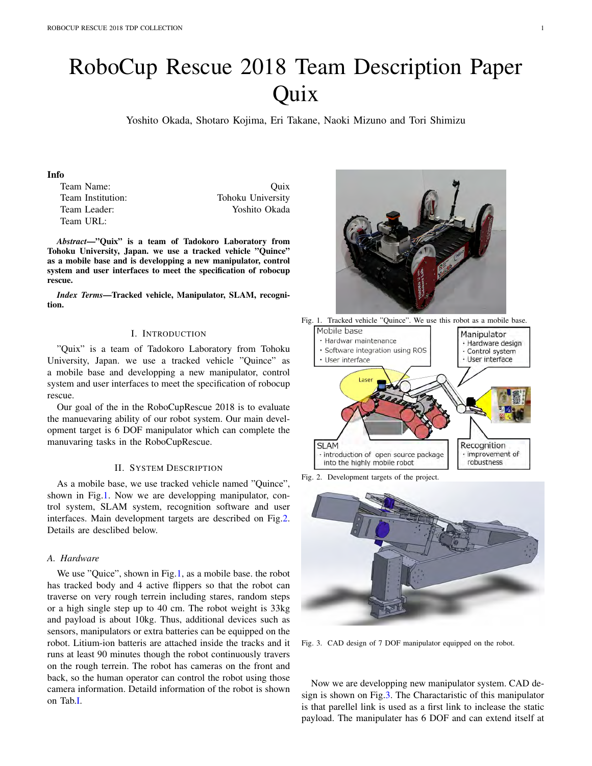# RoboCup Rescue 2018 Team Description Paper Quix

Yoshito Okada, Shotaro Kojima, Eri Takane, Naoki Mizuno and Tori Shimizu

# Info

| Team Name:        | Ouix              |
|-------------------|-------------------|
| Team Institution: | Tohoku University |
| Team Leader:      | Yoshito Okada     |
| Team URL:         |                   |

*Abstract*—"Quix" is a team of Tadokoro Laboratory from Tohoku University, Japan. we use a tracked vehicle "Quince" as a mobile base and is developping a new manipulator, control system and user interfaces to meet the specification of robocup rescue.

*Index Terms*—Tracked vehicle, Manipulator, SLAM, recognition.

#### I. INTRODUCTION

"Quix" is a team of Tadokoro Laboratory from Tohoku University, Japan. we use a tracked vehicle "Quince" as a mobile base and developping a new manipulator, control system and user interfaces to meet the specification of robocup rescue.

Our goal of the in the RoboCupRescue 2018 is to evaluate the manuevaring ability of our robot system. Our main development target is 6 DOF manipulator which can complete the manuvaring tasks in the RoboCupRescue.

#### II. SYSTEM DESCRIPTION

As a mobile base, we use tracked vehicle named "Quince", shown in Fig.1. Now we are developping manipulator, control system, SLAM system, recognition software and user interfaces. Main development targets are described on Fig.2. Details are desclibed below.

#### *A. Hardware*

We use "Quice", shown in Fig.1, as a mobile base. the robot has tracked body and 4 active flippers so that the robot can traverse on very rough terrein including stares, random steps or a high single step up to 40 cm. The robot weight is 33kg and payload is about 10kg. Thus, additional devices such as sensors, manipulators or extra batteries can be equipped on the robot. Litium-ion batteris are attached inside the tracks and it runs at least 90 minutes though the robot continuously travers on the rough terrein. The robot has cameras on the front and back, so the human operator can control the robot using those camera information. Detaild information of the robot is shown on Tab.I.



Fig. 1. Tracked vehicle "Quince". We use this robot as a mobile base.



Fig. 2. Development targets of the project.



Fig. 3. CAD design of 7 DOF manipulator equipped on the robot.

Now we are developping new manipulator system. CAD design is shown on Fig.3. The Charactaristic of this manipulator is that parellel link is used as a first link to inclease the static payload. The manipulater has 6 DOF and can extend itself at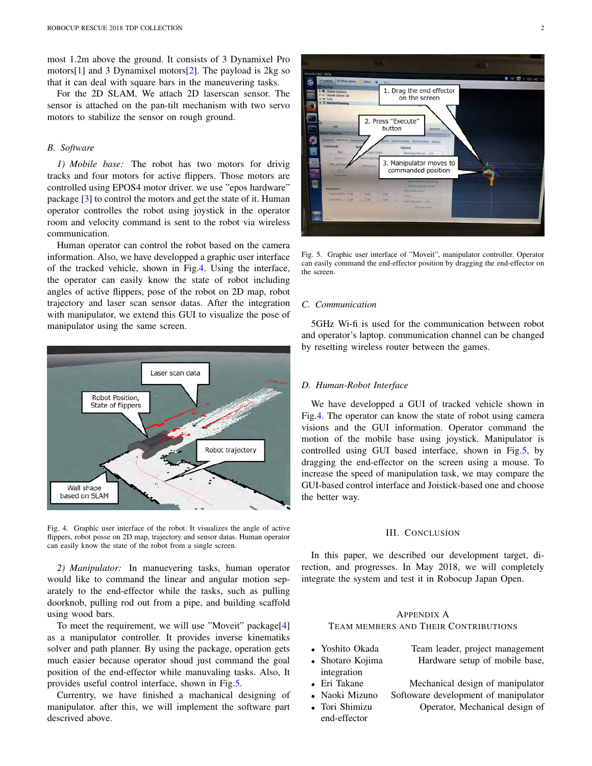most 1.2m above the ground. It consists of 3 Dynamixel Pro motors[1] and 3 Dynamixel motors[2]. The payload is 2kg so that it can deal with square bars in the maneuvering tasks.

For the 2D SLAM, We attach 2D laserscan sensor. The sensor is attached on the pan-tilt mechanism with two servo motors to stabilize the sensor on rough ground.

#### *B. Software*

*1) Mobile base:* The robot has two motors for drivig tracks and four motors for active flippers. Those motors are controlled using EPOS4 motor driver. we use "epos hardware" package [3] to control the motors and get the state of it. Human operator controlles the robot using joystick in the operator room and velocity command is sent to the robot via wireless communication.

Human operator can control the robot based on the camera information. Also, we have developped a graphic user interface of the tracked vehicle, shown in Fig.4. Using the interface, the operator can easily know the state of robot including angles of active flippers, pose of the robot on 2D map, robot trajectory and laser scan sensor datas. After the integration with manipulator, we extend this GUI to visualize the pose of manipulator using the same screen.



Fig. 4. Graphic user interface of the robot. It visualizes the angle of active flippers, robot posse on 2D map, trajectory and sensor datas. Human operator can easily know the state of the robot from a single screen.

*2) Manipulator:* In manuevering tasks, human operator would like to command the linear and angular motion separately to the end-effector while the tasks, such as pulling doorknob, pulling rod out from a pipe, and building scaffold using wood bars.

To meet the requirement, we will use "Moveit" package[4] as a manipulator controller. It provides inverse kinematiks solver and path planner. By using the package, operation gets much easier because operator shoud just command the goal position of the end-effector while manuvaling tasks. Also, It provides useful control interface, shown in Fig.5.

Currentry, we have finished a machanical designing of manipulator. after this, we will implement the software part descrived above.



Fig. 5. Graphic user interface of "Moveit", manipulator controller. Operator can easily command the end-effector position by dragging the end-effector on the screen.

#### *C. Communication*

5GHz Wi-fi is used for the communication between robot and operator's laptop. communication channel can be changed by resetting wireless router between the games.

#### *D. Human-Robot Interface*

We have developped a GUI of tracked vehicle shown in Fig.4. The operator can know the state of robot using camera visions and the GUI information. Operator command the motion of the mobile base using joystick. Manipulator is controlled using GUI based interface, shown in Fig.5, by dragging the end-effector on the screen using a mouse. To increase the speed of manipulation task, we may compare the GUI-based control interface and Joistick-based one and choose the better way.

#### III. CONCLUSION

In this paper, we described our development target, direction, and progresses. In May 2018, we will completely integrate the system and test it in Robocup Japan Open.

## APPENDIX A TEAM MEMBERS AND THEIR CONTRIBUTIONS

- Yoshito Okada Team leader, project management
	- **Shotaro Kojima** *Hardware setup of mobile base,*
- integration
- 
- **Fri** Takane *•* Mechanical design of manipulator
	- end-effector